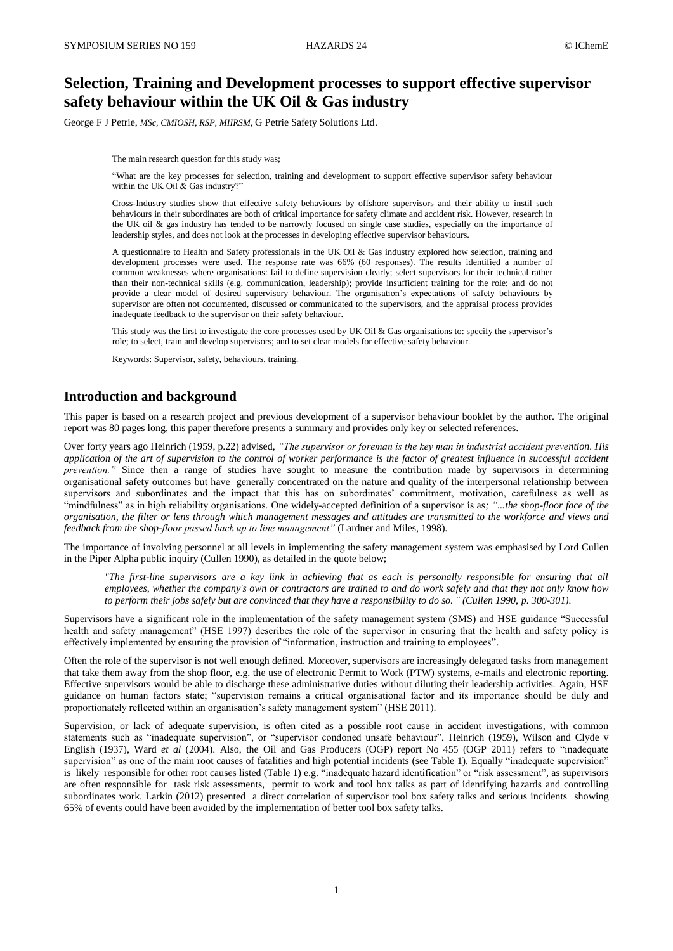# **Selection, Training and Development processes to support effective supervisor safety behaviour within the UK Oil & Gas industry**

George F J Petrie, *MSc, CMIOSH, RSP, MIIRSM,* G Petrie Safety Solutions Ltd.

The main research question for this study was;

"What are the key processes for selection, training and development to support effective supervisor safety behaviour within the UK Oil & Gas industry?"

Cross-Industry studies show that effective safety behaviours by offshore supervisors and their ability to instil such behaviours in their subordinates are both of critical importance for safety climate and accident risk. However, research in the UK oil & gas industry has tended to be narrowly focused on single case studies, especially on the importance of leadership styles, and does not look at the processes in developing effective supervisor behaviours.

A questionnaire to Health and Safety professionals in the UK Oil & Gas industry explored how selection, training and development processes were used. The response rate was 66% (60 responses). The results identified a number of common weaknesses where organisations: fail to define supervision clearly; select supervisors for their technical rather than their non-technical skills (e.g. communication, leadership); provide insufficient training for the role; and do not provide a clear model of desired supervisory behaviour. The organisation's expectations of safety behaviours by supervisor are often not documented, discussed or communicated to the supervisors, and the appraisal process provides inadequate feedback to the supervisor on their safety behaviour.

This study was the first to investigate the core processes used by UK Oil & Gas organisations to: specify the supervisor's role; to select, train and develop supervisors; and to set clear models for effective safety behaviour.

Keywords: Supervisor, safety, behaviours, training.

# **Introduction and background**

This paper is based on a research project and previous development of a supervisor behaviour booklet by the author. The original report was 80 pages long, this paper therefore presents a summary and provides only key or selected references.

Over forty years ago Heinrich (1959, p.22) advised, *"The supervisor or foreman is the key man in industrial accident prevention. His application of the art of supervision to the control of worker performance is the factor of greatest influence in successful accident prevention.*" Since then a range of studies have sought to measure the contribution made by supervisors in determining organisational safety outcomes but have generally concentrated on the nature and quality of the interpersonal relationship between supervisors and subordinates and the impact that this has on subordinates' commitment, motivation, carefulness as well as "mindfulness" as in high reliability organisations. One widely-accepted definition of a supervisor is as*; "...the shop-floor face of the organisation, the filter or lens through which management messages and attitudes are transmitted to the workforce and views and feedback from the shop-floor passed back up to line management"* (Lardner and Miles, 1998).

The importance of involving personnel at all levels in implementing the safety management system was emphasised by Lord Cullen in the Piper Alpha public inquiry (Cullen 1990), as detailed in the quote below;

*"The first-line supervisors are a key link in achieving that as each is personally responsible for ensuring that all employees, whether the company's own or contractors are trained to and do work safely and that they not only know how to perform their jobs safely but are convinced that they have a responsibility to do so. " (Cullen 1990, p. 300-301).*

Supervisors have a significant role in the implementation of the safety management system (SMS) and HSE guidance "Successful health and safety management" (HSE 1997) describes the role of the supervisor in ensuring that the health and safety policy is effectively implemented by ensuring the provision of "information, instruction and training to employees".

Often the role of the supervisor is not well enough defined. Moreover, supervisors are increasingly delegated tasks from management that take them away from the shop floor, e.g. the use of electronic Permit to Work (PTW) systems, e-mails and electronic reporting. Effective supervisors would be able to discharge these administrative duties without diluting their leadership activities. Again, HSE guidance on human factors state; "supervision remains a critical organisational factor and its importance should be duly and proportionately reflected within an organisation's safety management system" (HSE 2011).

Supervision, or lack of adequate supervision, is often cited as a possible root cause in accident investigations, with common statements such as "inadequate supervision", or "supervisor condoned unsafe behaviour", Heinrich (1959), Wilson and Clyde v English (1937), Ward *et al* (2004). Also, the Oil and Gas Producers (OGP) report No 455 (OGP 2011) refers to "inadequate supervision" as one of the main root causes of fatalities and high potential incidents (see Table 1). Equally "inadequate supervision" is likely responsible for other root causes listed (Table 1) e.g. "inadequate hazard identification" or "risk assessment", as supervisors are often responsible for task risk assessments, permit to work and tool box talks as part of identifying hazards and controlling subordinates work. Larkin (2012) presented a direct correlation of supervisor tool box safety talks and serious incidents showing 65% of events could have been avoided by the implementation of better tool box safety talks.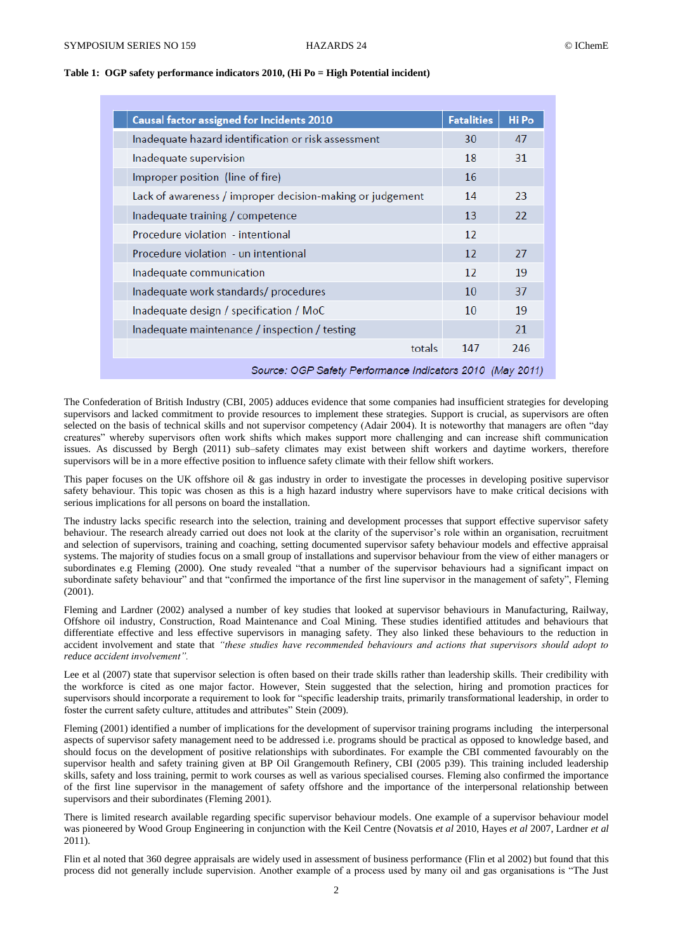| <b>Causal factor assigned for Incidents 2010</b>          | <b>Fatalities</b> | Hi Po |  |
|-----------------------------------------------------------|-------------------|-------|--|
| Inadequate hazard identification or risk assessment       | 30                | 47    |  |
| Inadequate supervision                                    | 18                | 31    |  |
| Improper position (line of fire)                          | 16                |       |  |
| Lack of awareness / improper decision-making or judgement | 14                | 23    |  |
| Inadequate training / competence                          | 13                | 22    |  |
| Procedure violation - intentional                         | $12 \overline{ }$ |       |  |
| Procedure violation - un intentional                      | 12                | 27    |  |
| Inadequate communication                                  | $12 \text{ }$     | 19    |  |
| Inadequate work standards/procedures                      | 10 <sup>1</sup>   | 37    |  |
| Inadequate design / specification / MoC                   | 10                | 19    |  |
| Inadequate maintenance / inspection / testing             |                   | 21    |  |
| totals                                                    | 147               | 246   |  |
| Source: OGP Safety Performance Indicators 2010 (May 2011) |                   |       |  |

## **Table 1: OGP safety performance indicators 2010, (Hi Po = High Potential incident)**

The Confederation of British Industry (CBI, 2005) adduces evidence that some companies had insufficient strategies for developing supervisors and lacked commitment to provide resources to implement these strategies. Support is crucial, as supervisors are often selected on the basis of technical skills and not supervisor competency (Adair 2004). It is noteworthy that managers are often "day creatures" whereby supervisors often work shifts which makes support more challenging and can increase shift communication issues. As discussed by Bergh (2011) sub–safety climates may exist between shift workers and daytime workers, therefore supervisors will be in a more effective position to influence safety climate with their fellow shift workers.

This paper focuses on the UK offshore oil & gas industry in order to investigate the processes in developing positive supervisor safety behaviour. This topic was chosen as this is a high hazard industry where supervisors have to make critical decisions with serious implications for all persons on board the installation.

The industry lacks specific research into the selection, training and development processes that support effective supervisor safety behaviour. The research already carried out does not look at the clarity of the supervisor's role within an organisation, recruitment and selection of supervisors, training and coaching, setting documented supervisor safety behaviour models and effective appraisal systems. The majority of studies focus on a small group of installations and supervisor behaviour from the view of either managers or subordinates e.g Fleming (2000). One study revealed "that a number of the supervisor behaviours had a significant impact on subordinate safety behaviour" and that "confirmed the importance of the first line supervisor in the management of safety", Fleming (2001).

Fleming and Lardner (2002) analysed a number of key studies that looked at supervisor behaviours in Manufacturing, Railway, Offshore oil industry, Construction, Road Maintenance and Coal Mining. These studies identified attitudes and behaviours that differentiate effective and less effective supervisors in managing safety. They also linked these behaviours to the reduction in accident involvement and state that *"these studies have recommended behaviours and actions that supervisors should adopt to reduce accident involvement".*

Lee et al (2007) state that supervisor selection is often based on their trade skills rather than leadership skills. Their credibility with the workforce is cited as one major factor. However, Stein suggested that the selection, hiring and promotion practices for supervisors should incorporate a requirement to look for "specific leadership traits, primarily transformational leadership, in order to foster the current safety culture, attitudes and attributes" Stein (2009).

Fleming (2001) identified a number of implications for the development of supervisor training programs including the interpersonal aspects of supervisor safety management need to be addressed i.e. programs should be practical as opposed to knowledge based, and should focus on the development of positive relationships with subordinates. For example the CBI commented favourably on the supervisor health and safety training given at BP Oil Grangemouth Refinery, CBI (2005 p39). This training included leadership skills, safety and loss training, permit to work courses as well as various specialised courses. Fleming also confirmed the importance of the first line supervisor in the management of safety offshore and the importance of the interpersonal relationship between supervisors and their subordinates (Fleming 2001).

There is limited research available regarding specific supervisor behaviour models. One example of a supervisor behaviour model was pioneered by Wood Group Engineering in conjunction with the Keil Centre (Novatsis *et al* 2010, Hayes *et al* 2007, Lardner *et al* 2011).

Flin et al noted that 360 degree appraisals are widely used in assessment of business performance (Flin et al 2002) but found that this process did not generally include supervision. Another example of a process used by many oil and gas organisations is "The Just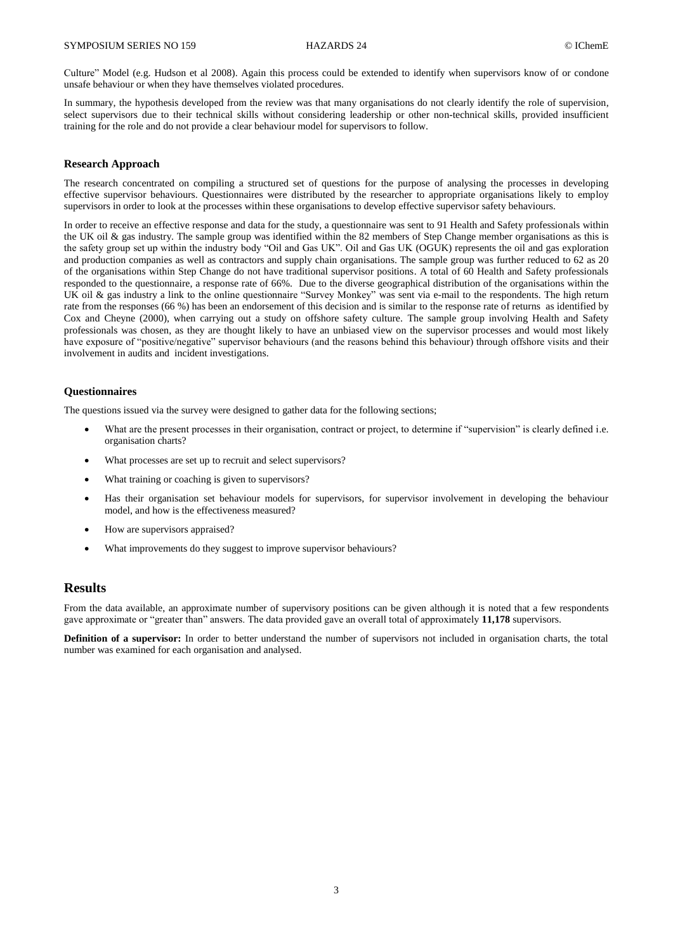Culture" Model (e.g. Hudson et al 2008). Again this process could be extended to identify when supervisors know of or condone unsafe behaviour or when they have themselves violated procedures.

In summary, the hypothesis developed from the review was that many organisations do not clearly identify the role of supervision, select supervisors due to their technical skills without considering leadership or other non-technical skills, provided insufficient training for the role and do not provide a clear behaviour model for supervisors to follow.

#### **Research Approach**

The research concentrated on compiling a structured set of questions for the purpose of analysing the processes in developing effective supervisor behaviours. Questionnaires were distributed by the researcher to appropriate organisations likely to employ supervisors in order to look at the processes within these organisations to develop effective supervisor safety behaviours.

In order to receive an effective response and data for the study, a questionnaire was sent to 91 Health and Safety professionals within the UK oil & gas industry. The sample group was identified within the 82 members of Step Change member organisations as this is the safety group set up within the industry body "Oil and Gas UK". Oil and Gas UK (OGUK) represents the oil and gas exploration and production companies as well as contractors and supply chain organisations. The sample group was further reduced to 62 as 20 of the organisations within Step Change do not have traditional supervisor positions. A total of 60 Health and Safety professionals responded to the questionnaire, a response rate of 66%. Due to the diverse geographical distribution of the organisations within the UK oil & gas industry a link to the online questionnaire "Survey Monkey" was sent via e-mail to the respondents. The high return rate from the responses (66 %) has been an endorsement of this decision and is similar to the response rate of returns as identified by Cox and Cheyne (2000), when carrying out a study on offshore safety culture. The sample group involving Health and Safety professionals was chosen, as they are thought likely to have an unbiased view on the supervisor processes and would most likely have exposure of "positive/negative" supervisor behaviours (and the reasons behind this behaviour) through offshore visits and their involvement in audits and incident investigations.

## **Questionnaires**

The questions issued via the survey were designed to gather data for the following sections;

- What are the present processes in their organisation, contract or project, to determine if "supervision" is clearly defined i.e. organisation charts?
- What processes are set up to recruit and select supervisors?
- What training or coaching is given to supervisors?
- Has their organisation set behaviour models for supervisors, for supervisor involvement in developing the behaviour model, and how is the effectiveness measured?
- How are supervisors appraised?
- What improvements do they suggest to improve supervisor behaviours?

# **Results**

From the data available, an approximate number of supervisory positions can be given although it is noted that a few respondents gave approximate or "greater than" answers. The data provided gave an overall total of approximately **11,178** supervisors.

**Definition of a supervisor:** In order to better understand the number of supervisors not included in organisation charts, the total number was examined for each organisation and analysed.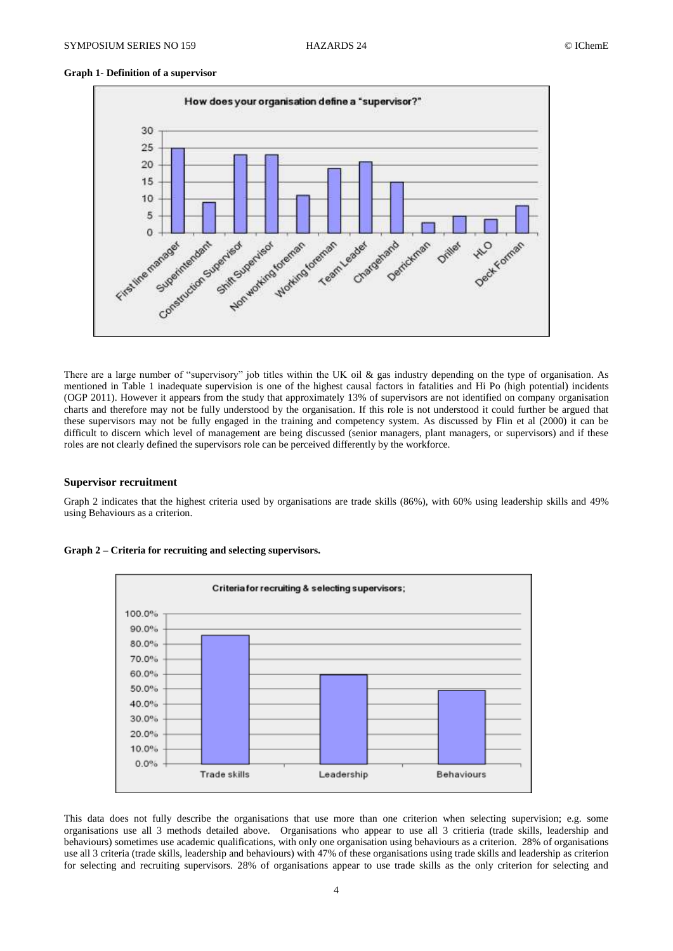## **Graph 1- Definition of a supervisor**



There are a large number of "supervisory" job titles within the UK oil & gas industry depending on the type of organisation. As mentioned in Table 1 inadequate supervision is one of the highest causal factors in fatalities and Hi Po (high potential) incidents (OGP 2011). However it appears from the study that approximately 13% of supervisors are not identified on company organisation charts and therefore may not be fully understood by the organisation. If this role is not understood it could further be argued that these supervisors may not be fully engaged in the training and competency system. As discussed by Flin et al (2000) it can be difficult to discern which level of management are being discussed (senior managers, plant managers, or supervisors) and if these roles are not clearly defined the supervisors role can be perceived differently by the workforce.

#### **Supervisor recruitment**

Graph 2 indicates that the highest criteria used by organisations are trade skills (86%), with 60% using leadership skills and 49% using Behaviours as a criterion.



**Graph 2 – Criteria for recruiting and selecting supervisors.**

This data does not fully describe the organisations that use more than one criterion when selecting supervision; e.g. some organisations use all 3 methods detailed above. Organisations who appear to use all 3 critieria (trade skills, leadership and behaviours) sometimes use academic qualifications, with only one organisation using behaviours as a criterion. 28% of organisations use all 3 criteria (trade skills, leadership and behaviours) with 47% of these organisations using trade skills and leadership as criterion for selecting and recruiting supervisors. 28% of organisations appear to use trade skills as the only criterion for selecting and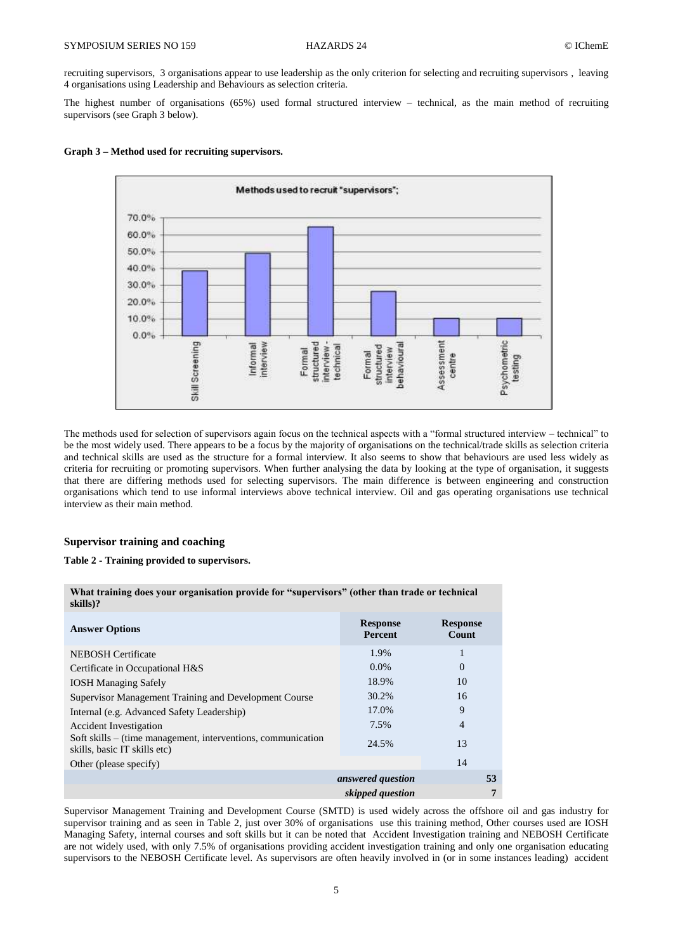recruiting supervisors, 3 organisations appear to use leadership as the only criterion for selecting and recruiting supervisors , leaving 4 organisations using Leadership and Behaviours as selection criteria.

The highest number of organisations (65%) used formal structured interview – technical, as the main method of recruiting supervisors (see Graph 3 below).





The methods used for selection of supervisors again focus on the technical aspects with a "formal structured interview – technical" to be the most widely used. There appears to be a focus by the majority of organisations on the technical/trade skills as selection criteria and technical skills are used as the structure for a formal interview. It also seems to show that behaviours are used less widely as criteria for recruiting or promoting supervisors. When further analysing the data by looking at the type of organisation, it suggests that there are differing methods used for selecting supervisors. The main difference is between engineering and construction organisations which tend to use informal interviews above technical interview. Oil and gas operating organisations use technical interview as their main method.

#### **Supervisor training and coaching**

## **Table 2 - Training provided to supervisors.**

| skills)?                                                                                     |                            |                          |
|----------------------------------------------------------------------------------------------|----------------------------|--------------------------|
| <b>Answer Options</b>                                                                        | <b>Response</b><br>Percent | <b>Response</b><br>Count |
| <b>NEBOSH</b> Certificate                                                                    | 1.9%                       |                          |
| Certificate in Occupational H&S                                                              | $0.0\%$                    | 0                        |
| <b>IOSH Managing Safely</b>                                                                  | 18.9%                      | 10                       |
| Supervisor Management Training and Development Course                                        | 30.2%                      | 16                       |
| Internal (e.g. Advanced Safety Leadership)                                                   | 17.0%                      | 9                        |
| <b>Accident Investigation</b>                                                                | 7.5%                       | $\overline{4}$           |
| Soft skills – (time management, interventions, communication<br>skills, basic IT skills etc) | 24.5%                      | 13                       |
| Other (please specify)                                                                       |                            | 14                       |
|                                                                                              | answered question          | 53                       |
|                                                                                              | skipped question           |                          |

**What training does your organisation provide for "supervisors" (other than trade or technical** 

Supervisor Management Training and Development Course (SMTD) is used widely across the offshore oil and gas industry for supervisor training and as seen in Table 2, just over 30% of organisations use this training method, Other courses used are IOSH Managing Safety, internal courses and soft skills but it can be noted that Accident Investigation training and NEBOSH Certificate are not widely used, with only 7.5% of organisations providing accident investigation training and only one organisation educating supervisors to the NEBOSH Certificate level. As supervisors are often heavily involved in (or in some instances leading) accident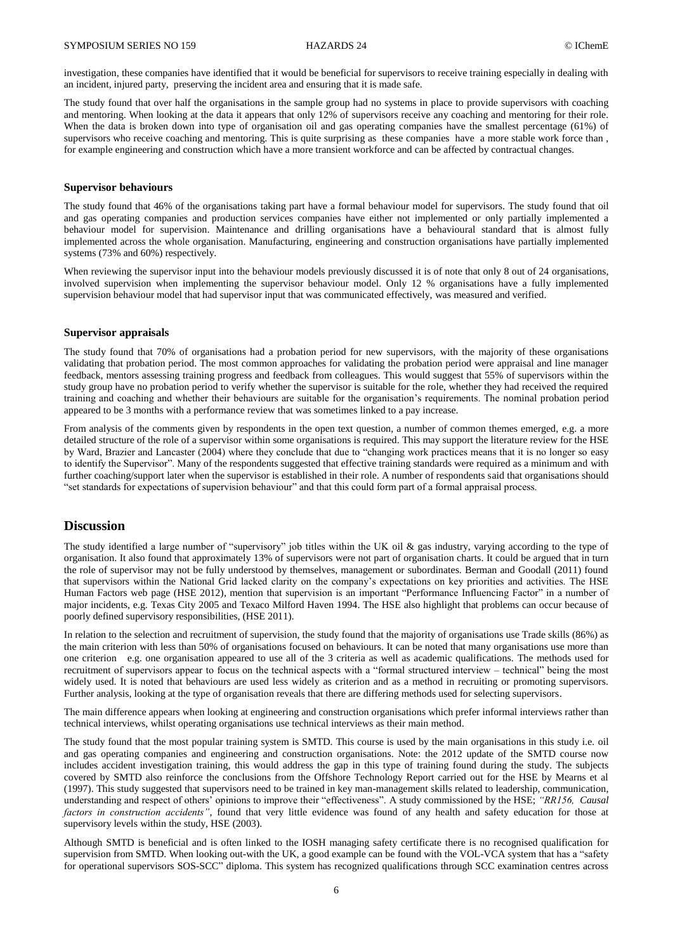investigation, these companies have identified that it would be beneficial for supervisors to receive training especially in dealing with an incident, injured party, preserving the incident area and ensuring that it is made safe.

The study found that over half the organisations in the sample group had no systems in place to provide supervisors with coaching and mentoring. When looking at the data it appears that only 12% of supervisors receive any coaching and mentoring for their role. When the data is broken down into type of organisation oil and gas operating companies have the smallest percentage (61%) of supervisors who receive coaching and mentoring. This is quite surprising as these companies have a more stable work force than , for example engineering and construction which have a more transient workforce and can be affected by contractual changes.

#### **Supervisor behaviours**

The study found that 46% of the organisations taking part have a formal behaviour model for supervisors. The study found that oil and gas operating companies and production services companies have either not implemented or only partially implemented a behaviour model for supervision. Maintenance and drilling organisations have a behavioural standard that is almost fully implemented across the whole organisation. Manufacturing, engineering and construction organisations have partially implemented systems (73% and 60%) respectively.

When reviewing the supervisor input into the behaviour models previously discussed it is of note that only 8 out of 24 organisations, involved supervision when implementing the supervisor behaviour model. Only 12 % organisations have a fully implemented supervision behaviour model that had supervisor input that was communicated effectively, was measured and verified.

#### **Supervisor appraisals**

The study found that 70% of organisations had a probation period for new supervisors, with the majority of these organisations validating that probation period. The most common approaches for validating the probation period were appraisal and line manager feedback, mentors assessing training progress and feedback from colleagues. This would suggest that 55% of supervisors within the study group have no probation period to verify whether the supervisor is suitable for the role, whether they had received the required training and coaching and whether their behaviours are suitable for the organisation's requirements. The nominal probation period appeared to be 3 months with a performance review that was sometimes linked to a pay increase.

From analysis of the comments given by respondents in the open text question, a number of common themes emerged, e.g. a more detailed structure of the role of a supervisor within some organisations is required. This may support the literature review for the HSE by Ward, Brazier and Lancaster (2004) where they conclude that due to "changing work practices means that it is no longer so easy to identify the Supervisor". Many of the respondents suggested that effective training standards were required as a minimum and with further coaching/support later when the supervisor is established in their role. A number of respondents said that organisations should "set standards for expectations of supervision behaviour" and that this could form part of a formal appraisal process.

# **Discussion**

The study identified a large number of "supervisory" job titles within the UK oil & gas industry, varying according to the type of organisation. It also found that approximately 13% of supervisors were not part of organisation charts. It could be argued that in turn the role of supervisor may not be fully understood by themselves, management or subordinates. Berman and Goodall (2011) found that supervisors within the National Grid lacked clarity on the company's expectations on key priorities and activities. The HSE Human Factors web page (HSE 2012), mention that supervision is an important "Performance Influencing Factor" in a number of major incidents, e.g. Texas City 2005 and Texaco Milford Haven 1994. The HSE also highlight that problems can occur because of poorly defined supervisory responsibilities, (HSE 2011).

In relation to the selection and recruitment of supervision, the study found that the majority of organisations use Trade skills (86%) as the main criterion with less than 50% of organisations focused on behaviours. It can be noted that many organisations use more than one criterion e.g. one organisation appeared to use all of the 3 criteria as well as academic qualifications. The methods used for recruitment of supervisors appear to focus on the technical aspects with a "formal structured interview – technical" being the most widely used. It is noted that behaviours are used less widely as criterion and as a method in recruiting or promoting supervisors. Further analysis, looking at the type of organisation reveals that there are differing methods used for selecting supervisors.

The main difference appears when looking at engineering and construction organisations which prefer informal interviews rather than technical interviews, whilst operating organisations use technical interviews as their main method.

The study found that the most popular training system is SMTD. This course is used by the main organisations in this study i.e. oil and gas operating companies and engineering and construction organisations. Note: the 2012 update of the SMTD course now includes accident investigation training, this would address the gap in this type of training found during the study. The subjects covered by SMTD also reinforce the conclusions from the Offshore Technology Report carried out for the HSE by Mearns et al (1997). This study suggested that supervisors need to be trained in key man-management skills related to leadership, communication, understanding and respect of others' opinions to improve their "effectiveness". A study commissioned by the HSE; *"RR156, Causal factors in construction accidents"*, found that very little evidence was found of any health and safety education for those at supervisory levels within the study, HSE (2003).

Although SMTD is beneficial and is often linked to the IOSH managing safety certificate there is no recognised qualification for supervision from SMTD. When looking out-with the UK, a good example can be found with the VOL-VCA system that has a "safety for operational supervisors SOS-SCC" diploma. This system has recognized qualifications through SCC examination centres across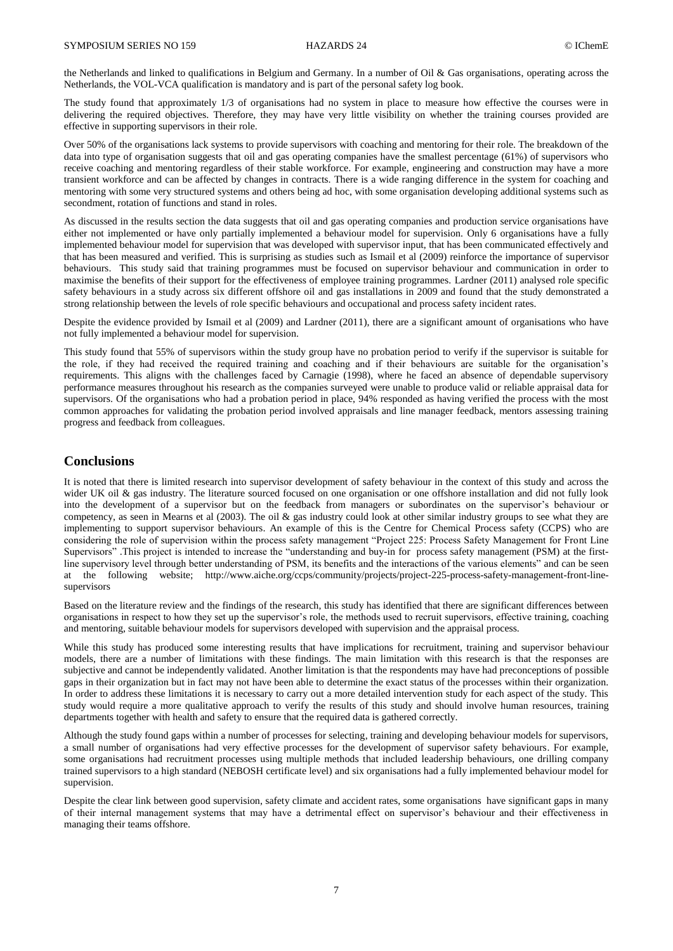the Netherlands and linked to qualifications in Belgium and Germany. In a number of Oil & Gas organisations, operating across the Netherlands, the VOL-VCA qualification is mandatory and is part of the personal safety log book.

The study found that approximately 1/3 of organisations had no system in place to measure how effective the courses were in delivering the required objectives. Therefore, they may have very little visibility on whether the training courses provided are effective in supporting supervisors in their role.

Over 50% of the organisations lack systems to provide supervisors with coaching and mentoring for their role. The breakdown of the data into type of organisation suggests that oil and gas operating companies have the smallest percentage (61%) of supervisors who receive coaching and mentoring regardless of their stable workforce. For example, engineering and construction may have a more transient workforce and can be affected by changes in contracts. There is a wide ranging difference in the system for coaching and mentoring with some very structured systems and others being ad hoc, with some organisation developing additional systems such as secondment, rotation of functions and stand in roles.

As discussed in the results section the data suggests that oil and gas operating companies and production service organisations have either not implemented or have only partially implemented a behaviour model for supervision. Only 6 organisations have a fully implemented behaviour model for supervision that was developed with supervisor input, that has been communicated effectively and that has been measured and verified. This is surprising as studies such as Ismail et al (2009) reinforce the importance of supervisor behaviours. This study said that training programmes must be focused on supervisor behaviour and communication in order to maximise the benefits of their support for the effectiveness of employee training programmes. Lardner (2011) analysed role specific safety behaviours in a study across six different offshore oil and gas installations in 2009 and found that the study demonstrated a strong relationship between the levels of role specific behaviours and occupational and process safety incident rates.

Despite the evidence provided by Ismail et al (2009) and Lardner (2011), there are a significant amount of organisations who have not fully implemented a behaviour model for supervision.

This study found that 55% of supervisors within the study group have no probation period to verify if the supervisor is suitable for the role, if they had received the required training and coaching and if their behaviours are suitable for the organisation's requirements. This aligns with the challenges faced by Carnagie (1998), where he faced an absence of dependable supervisory performance measures throughout his research as the companies surveyed were unable to produce valid or reliable appraisal data for supervisors. Of the organisations who had a probation period in place, 94% responded as having verified the process with the most common approaches for validating the probation period involved appraisals and line manager feedback, mentors assessing training progress and feedback from colleagues.

## **Conclusions**

It is noted that there is limited research into supervisor development of safety behaviour in the context of this study and across the wider UK oil & gas industry. The literature sourced focused on one organisation or one offshore installation and did not fully look into the development of a supervisor but on the feedback from managers or subordinates on the supervisor's behaviour or competency, as seen in Mearns et al (2003). The oil & gas industry could look at other similar industry groups to see what they are implementing to support supervisor behaviours. An example of this is the Centre for Chemical Process safety (CCPS) who are considering the role of supervision within the process safety management "Project 225: Process Safety Management for Front Line Supervisors" .This project is intended to increase the "understanding and buy-in for process safety management (PSM) at the firstline supervisory level through better understanding of PSM, its benefits and the interactions of the various elements" and can be seen at the following website; [http://www.aiche.org/ccps/community/projects/project-225-process-safety-management-front-line](http://www.aiche.org/ccps/community/projects/project-225-process-safety-management-front-line-supervisors)[supervisors](http://www.aiche.org/ccps/community/projects/project-225-process-safety-management-front-line-supervisors)

Based on the literature review and the findings of the research, this study has identified that there are significant differences between organisations in respect to how they set up the supervisor's role, the methods used to recruit supervisors, effective training, coaching and mentoring, suitable behaviour models for supervisors developed with supervision and the appraisal process.

While this study has produced some interesting results that have implications for recruitment, training and supervisor behaviour models, there are a number of limitations with these findings. The main limitation with this research is that the responses are subjective and cannot be independently validated. Another limitation is that the respondents may have had preconceptions of possible gaps in their organization but in fact may not have been able to determine the exact status of the processes within their organization. In order to address these limitations it is necessary to carry out a more detailed intervention study for each aspect of the study. This study would require a more qualitative approach to verify the results of this study and should involve human resources, training departments together with health and safety to ensure that the required data is gathered correctly.

Although the study found gaps within a number of processes for selecting, training and developing behaviour models for supervisors, a small number of organisations had very effective processes for the development of supervisor safety behaviours. For example, some organisations had recruitment processes using multiple methods that included leadership behaviours, one drilling company trained supervisors to a high standard (NEBOSH certificate level) and six organisations had a fully implemented behaviour model for supervision.

Despite the clear link between good supervision, safety climate and accident rates, some organisations have significant gaps in many of their internal management systems that may have a detrimental effect on supervisor's behaviour and their effectiveness in managing their teams offshore.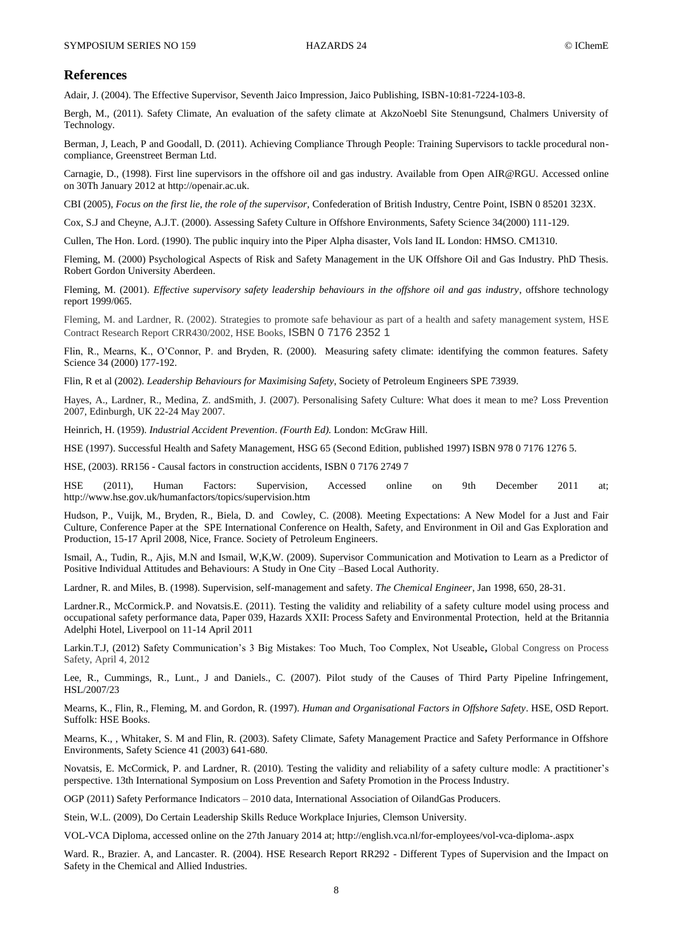#### **References**

Adair, J. (2004). The Effective Supervisor, Seventh Jaico Impression, Jaico Publishing, ISBN-10:81-7224-103-8.

Bergh, M., (2011). Safety Climate, An evaluation of the safety climate at AkzoNoebl Site Stenungsund, Chalmers University of Technology.

Berman, J, Leach, P and Goodall, D. (2011). Achieving Compliance Through People: Training Supervisors to tackle procedural noncompliance, Greenstreet Berman Ltd.

Carnagie, D., (1998). First line supervisors in the offshore oil and gas industry. Available from Open AIR@RGU. Accessed online on 30Th January 2012 a[t http://openair.ac.uk.](http://openair.ac.uk/)

CBI (2005), *Focus on the first lie, the role of the supervisor,* Confederation of British Industry, Centre Point, ISBN 0 85201 323X.

Cox, S.J and Cheyne, A.J.T. (2000). Assessing Safety Culture in Offshore Environments, Safety Science 34(2000) 111-129.

Cullen, The Hon. Lord. (1990). The public inquiry into the Piper Alpha disaster, Vols Iand IL London: HMSO. CM1310.

Fleming, M. (2000) Psychological Aspects of Risk and Safety Management in the UK Offshore Oil and Gas Industry. PhD Thesis. Robert Gordon University Aberdeen.

Fleming, M. (2001)*. Effective supervisory safety leadership behaviours in the offshore oil and gas industry*, offshore technology report 1999/065.

Fleming, M. and Lardner, R. (2002). Strategies to promote safe behaviour as part of a health and safety management system, HSE Contract Research Report CRR430/2002, HSE Books, ISBN 0 7176 2352 1

Flin, R., Mearns, K., O'Connor, P. and Bryden, R. (2000). Measuring safety climate: identifying the common features. Safety Science 34 (2000) 177-192.

Flin, R et al (2002). *Leadership Behaviours for Maximising Safety*, Society of Petroleum Engineers SPE 73939.

Hayes, A., Lardner, R., Medina, Z. andSmith, J. (2007). Personalising Safety Culture: What does it mean to me? Loss Prevention 2007, Edinburgh, UK 22-24 May 2007.

Heinrich, H. (1959). *Industrial Accident Prevention*. *(Fourth Ed).* London: McGraw Hill.

HSE (1997). Successful Health and Safety Management, HSG 65 (Second Edition, published 1997) ISBN 978 0 7176 1276 5.

HSE, (2003). RR156 - Causal factors in construction accidents, ISBN 0 7176 2749 7

HSE (2011), Human Factors: Supervision, Accessed online on 9th December 2011 at; <http://www.hse.gov.uk/humanfactors/topics/supervision.htm>

Hudson, P., Vuijk, M., Bryden, R., Biela, D. and Cowley, C. (2008). Meeting Expectations: A New Model for a Just and Fair Culture, Conference Paper at the SPE International Conference on Health, Safety, and Environment in Oil and Gas Exploration and Production, 15-17 April 2008, Nice, France. Society of Petroleum Engineers.

Ismail, A., Tudin, R., Ajis, M.N and Ismail, W,K,W. (2009). Supervisor Communication and Motivation to Learn as a Predictor of Positive Individual Attitudes and Behaviours: A Study in One City –Based Local Authority.

Lardner, R. and Miles, B. (1998). Supervision, self-management and safety. *The Chemical Engineer*, Jan 1998, 650, 28-31.

Lardner.R., McCormick.P. and Novatsis.E. (2011). Testing the validity and reliability of a safety culture model using process and occupational safety performance data, Paper 039, Hazards XXII: Process Safety and Environmental Protection, held at the Britannia Adelphi Hotel, Liverpool on 11-14 April 2011

Larkin.T.J, (2012) Safety Communication's 3 Big Mistakes: Too Much, Too Complex, Not Useable**,** Global Congress on Process Safety, April 4, 2012

Lee, R., Cummings, R., Lunt., J and Daniels., C. (2007). Pilot study of the Causes of Third Party Pipeline Infringement, HSL/2007/23

Mearns, K., Flin, R., Fleming, M. and Gordon, R. (1997). *Human and Organisational Factors in Offshore Safety*. HSE, OSD Report. Suffolk: HSE Books.

Mearns, K., , Whitaker, S. M and Flin, R. (2003). Safety Climate, Safety Management Practice and Safety Performance in Offshore Environments, Safety Science 41 (2003) 641-680.

Novatsis, E. McCormick, P. and Lardner, R. (2010). Testing the validity and reliability of a safety culture modle: A practitioner's perspective. 13th International Symposium on Loss Prevention and Safety Promotion in the Process Industry.

OGP (2011) Safety Performance Indicators – 2010 data, International Association of OilandGas Producers.

Stein, W.L. (2009), Do Certain Leadership Skills Reduce Workplace Injuries, Clemson University.

VOL-VCA Diploma, accessed online on the 27th January 2014 at[; http://english.vca.nl/for-employees/vol-vca-diploma-.aspx](http://english.vca.nl/for-employees/vol-vca-diploma-.aspx)

Ward. R., Brazier. A, and Lancaster. R. (2004). HSE Research Report RR292 - Different Types of Supervision and the Impact on Safety in the Chemical and Allied Industries.